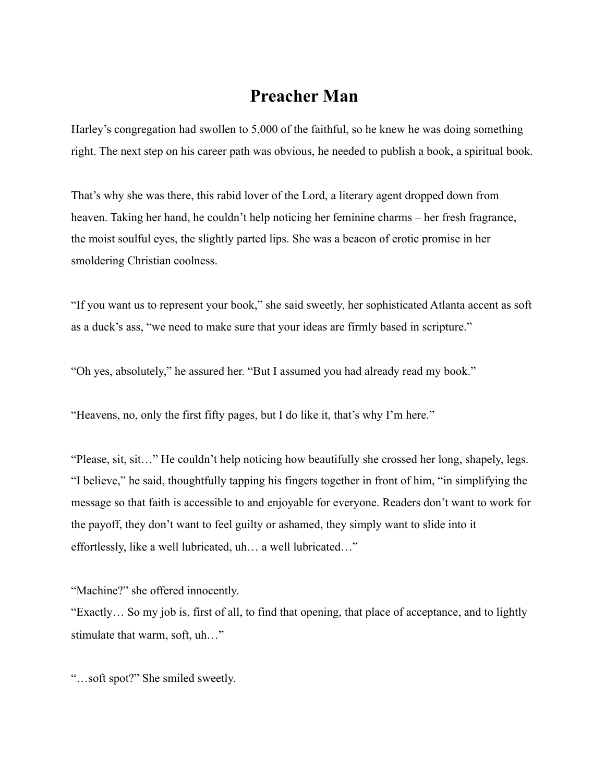## **Preacher Man**

Harley's congregation had swollen to 5,000 of the faithful, so he knew he was doing something right. The next step on his career path was obvious, he needed to publish a book, a spiritual book.

That's why she was there, this rabid lover of the Lord, a literary agent dropped down from heaven. Taking her hand, he couldn't help noticing her feminine charms – her fresh fragrance, the moist soulful eyes, the slightly parted lips. She was a beacon of erotic promise in her smoldering Christian coolness.

"If you want us to represent your book," she said sweetly, her sophisticated Atlanta accent as soft as a duck's ass, "we need to make sure that your ideas are firmly based in scripture."

"Oh yes, absolutely," he assured her. "But I assumed you had already read my book."

"Heavens, no, only the first fifty pages, but I do like it, that's why I'm here."

"Please, sit, sit…" He couldn't help noticing how beautifully she crossed her long, shapely, legs. "I believe," he said, thoughtfully tapping his fingers together in front of him, "in simplifying the message so that faith is accessible to and enjoyable for everyone. Readers don't want to work for the payoff, they don't want to feel guilty or ashamed, they simply want to slide into it effortlessly, like a well lubricated, uh… a well lubricated…"

"Machine?" she offered innocently.

"Exactly… So my job is, first of all, to find that opening, that place of acceptance, and to lightly stimulate that warm, soft, uh…"

"…soft spot?" She smiled sweetly.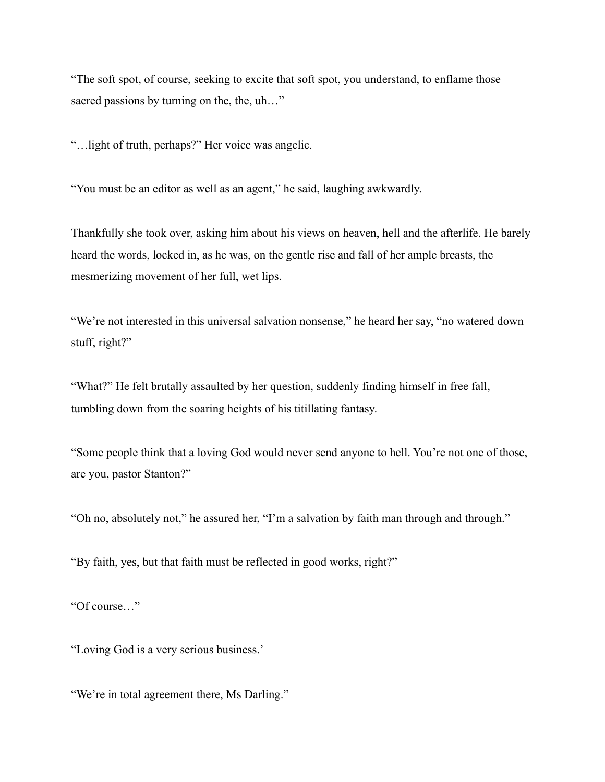"The soft spot, of course, seeking to excite that soft spot, you understand, to enflame those sacred passions by turning on the, the, uh..."

"…light of truth, perhaps?" Her voice was angelic.

"You must be an editor as well as an agent," he said, laughing awkwardly.

Thankfully she took over, asking him about his views on heaven, hell and the afterlife. He barely heard the words, locked in, as he was, on the gentle rise and fall of her ample breasts, the mesmerizing movement of her full, wet lips.

"We're not interested in this universal salvation nonsense," he heard her say, "no watered down stuff, right?"

"What?" He felt brutally assaulted by her question, suddenly finding himself in free fall, tumbling down from the soaring heights of his titillating fantasy.

"Some people think that a loving God would never send anyone to hell. You're not one of those, are you, pastor Stanton?"

"Oh no, absolutely not," he assured her, "I'm a salvation by faith man through and through."

"By faith, yes, but that faith must be reflected in good works, right?"

"Of course…"

"Loving God is a very serious business.'

"We're in total agreement there, Ms Darling."